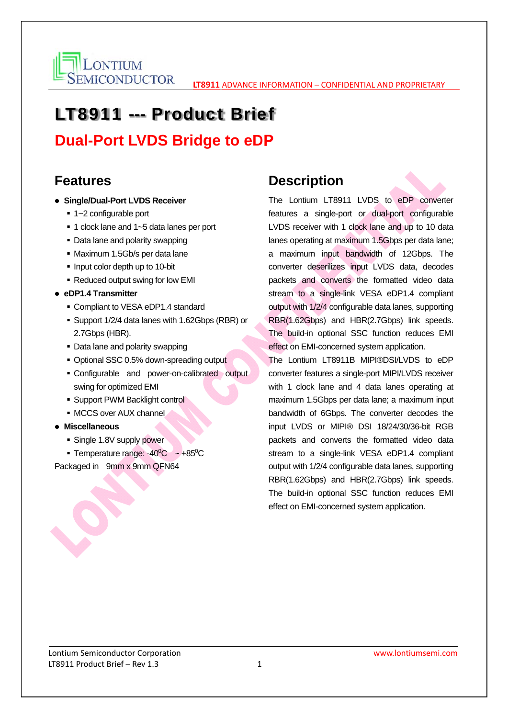

# LT8911 --- Product Brief

**Dual-Port LVDS Bridge to eDP**

#### **Features**

- **Single/Dual-Port LVDS Receiver** 
	- 1~2 configurable port
	- 1 clock lane and 1~5 data lanes per port
	- Data lane and polarity swapping
	- Maximum 1.5Gb/s per data lane
	- Input color depth up to 10-bit
	- Reduced output swing for low EMI
- **eDP1.4 Transmitter** 
	- **Compliant to VESA eDP1.4 standard**
	- Support 1/2/4 data lanes with 1.62Gbps (RBR) or 2.7Gbps (HBR).
	- Data lane and polarity swapping
	- Optional SSC 0.5% down-spreading output
	- Configurable and power-on-calibrated output swing for optimized EMI
	- **Support PWM Backlight control**
	- **MCCS over AUX channel**
- **Miscellaneous** 
	- **Single 1.8V supply power**
	- Temperature range:  $-40^{\circ}$ C ~  $+85^{\circ}$ C

Packaged in 9mm x 9mm QFN64

#### **Description**

The Lontium LT8911 LVDS to eDP converter features a single-port or dual-port configurable LVDS receiver with 1 clock lane and up to 10 data lanes operating at maximum 1.5Gbps per data lane; a maximum input bandwidth of 12Gbps. The converter deserilizes input LVDS data, decodes packets and converts the formatted video data stream to a single-link VESA eDP1.4 compliant output with 1/2/4 configurable data lanes, supporting RBR(1.62Gbps) and HBR(2.7Gbps) link speeds. The build-in optional SSC function reduces EMI effect on EMI-concerned system application.

The Lontium LT8911B MIPI®DSI/LVDS to eDP converter features a single-port MIPI/LVDS receiver with 1 clock lane and 4 data lanes operating at maximum 1.5Gbps per data lane; a maximum input bandwidth of 6Gbps. The converter decodes the input LVDS or MIPI® DSI 18/24/30/36-bit RGB packets and converts the formatted video data stream to a single-link VESA eDP1.4 compliant output with 1/2/4 configurable data lanes, supporting RBR(1.62Gbps) and HBR(2.7Gbps) link speeds. The build-in optional SSC function reduces EMI effect on EMI-concerned system application.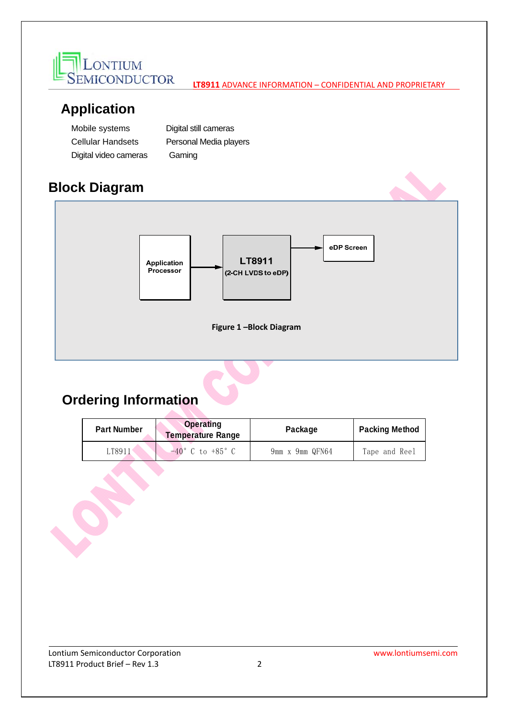

### **Application**

| Mobile systems           | Digital still cameras  |  |
|--------------------------|------------------------|--|
| <b>Cellular Handsets</b> | Personal Media players |  |
| Digital video cameras    | Gaming                 |  |

## **Block Diagram**



## **Ordering Information**

the contract of the contract of the contract of

| <b>Part Number</b> | <b>Operating</b><br><b>Temperature Range</b> | Package         | <b>Packing Method</b> |
|--------------------|----------------------------------------------|-----------------|-----------------------|
| 18911              | $-40^{\circ}$ C to $+85^{\circ}$ C           | 9mm x 9mm QFN64 | Tape and Reel         |